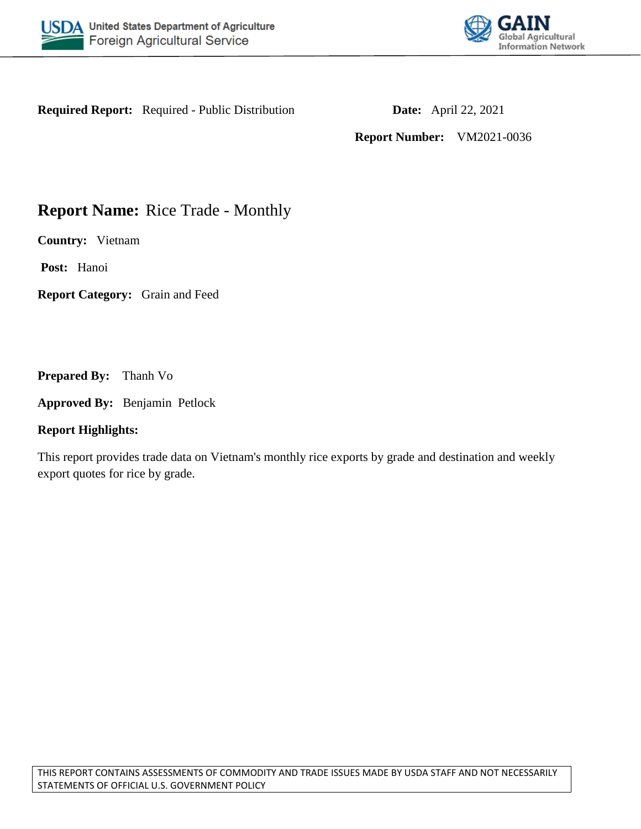



**Required Report:** Required - Public Distribution **Date:** April 22, 2021

**Report Number:** VM2021-0036

# **Report Name:** Rice Trade - Monthly

**Country:** Vietnam

**Post:** Hanoi

**Report Category:** Grain and Feed

**Prepared By:** Thanh Vo

**Approved By:** Benjamin Petlock

#### **Report Highlights:**

This report provides trade data on Vietnam's monthly rice exports by grade and destination and weekly export quotes for rice by grade.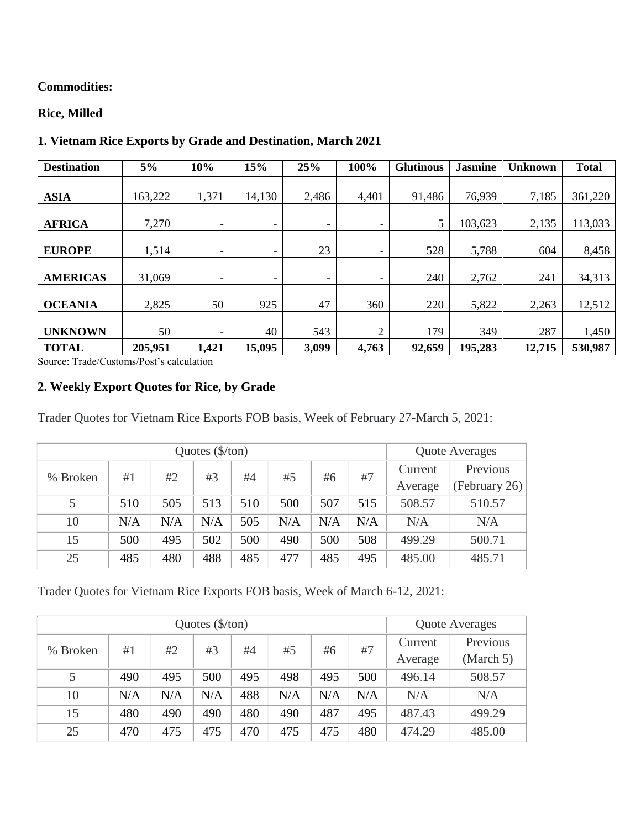#### **Commodities:**

## **Rice, Milled**

| <b>Destination</b> | 5%      | 10%                      | 15%                      | 25%   | 100%                     | <b>Glutinous</b> | <b>Jasmine</b> | <b>Unknown</b> | <b>Total</b> |
|--------------------|---------|--------------------------|--------------------------|-------|--------------------------|------------------|----------------|----------------|--------------|
| <b>ASIA</b>        | 163,222 | 1,371                    | 14,130                   | 2,486 | 4,401                    | 91,486           | 76,939         | 7,185          | 361,220      |
|                    |         |                          |                          |       |                          |                  |                |                |              |
| <b>AFRICA</b>      | 7,270   | ۰                        | $\overline{\phantom{a}}$ | ۰     | -                        | 5                | 103,623        | 2,135          | 113,033      |
| <b>EUROPE</b>      | 1,514   | ۰                        | $\overline{\phantom{a}}$ | 23    | -                        | 528              | 5,788          | 604            | 8,458        |
| <b>AMERICAS</b>    | 31,069  | $\overline{\phantom{0}}$ | $\overline{\phantom{a}}$ | ۰     | $\overline{\phantom{a}}$ | 240              | 2,762          | 241            | 34,313       |
| <b>OCEANIA</b>     | 2,825   | 50                       | 925                      | 47    | 360                      | 220              | 5,822          | 2,263          | 12,512       |
| <b>UNKNOWN</b>     | 50      | $\overline{\phantom{0}}$ | 40                       | 543   | $\overline{2}$           | 179              | 349            | 287            | 1,450        |
| <b>TOTAL</b>       | 205,951 | 1,421                    | 15,095                   | 3,099 | 4,763                    | 92,659           | 195,283        | 12,715         | 530,987      |

# **1. Vietnam Rice Exports by Grade and Destination, March 2021**

Source: Trade/Customs/Post's calculation

## **2. Weekly Export Quotes for Rice, by Grade**

Trader Quotes for Vietnam Rice Exports FOB basis, Week of February 27-March 5, 2021:

|          |     | <b>Quote Averages</b>                  |     |         |               |     |     |         |          |
|----------|-----|----------------------------------------|-----|---------|---------------|-----|-----|---------|----------|
| % Broken |     | #2<br>#7<br>#3<br>#5<br>#4<br>#6<br>#1 |     |         |               |     |     | Current | Previous |
|          |     |                                        |     | Average | (February 26) |     |     |         |          |
| 5        | 510 | 505                                    | 513 | 510     | 500           | 507 | 515 | 508.57  | 510.57   |
| 10       | N/A | N/A                                    | N/A | 505     | N/A           | N/A | N/A | N/A     | N/A      |
| 15       | 500 | 495                                    | 502 | 500     | 490           | 500 | 508 | 499.29  | 500.71   |
| 25       | 485 | 480                                    | 488 | 485     | 477           | 485 | 495 | 485.00  | 485.71   |

Trader Quotes for Vietnam Rice Exports FOB basis, Week of March 6-12, 2021:

|          |     | Quote Averages |     |     |     |     |     |                    |                       |
|----------|-----|----------------|-----|-----|-----|-----|-----|--------------------|-----------------------|
| % Broken | #1  | #2             | #3  | #4  | #5  | #6  | #7  | Current<br>Average | Previous<br>(March 5) |
| 5        | 490 | 495            | 500 | 495 | 498 | 495 | 500 | 496.14             | 508.57                |
| 10       | N/A | N/A            | N/A | 488 | N/A | N/A | N/A | N/A                | N/A                   |
| 15       | 480 | 490            | 490 | 480 | 490 | 487 | 495 | 487.43             | 499.29                |
| 25       | 470 | 475            | 475 | 470 | 475 | 475 | 480 | 474.29             | 485.00                |